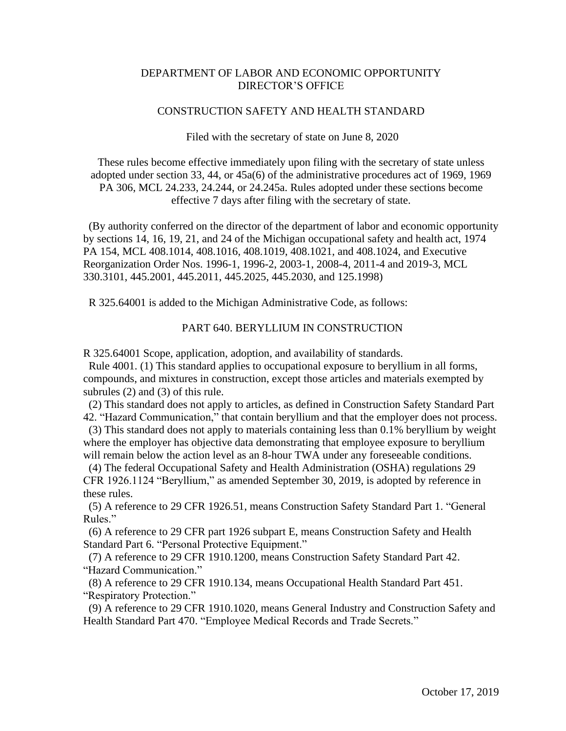## DEPARTMENT OF LABOR AND ECONOMIC OPPORTUNITY DIRECTOR'S OFFICE

## CONSTRUCTION SAFETY AND HEALTH STANDARD

Filed with the secretary of state on June 8, 2020

These rules become effective immediately upon filing with the secretary of state unless adopted under section 33, 44, or 45a(6) of the administrative procedures act of 1969, 1969 PA 306, MCL 24.233, 24.244, or 24.245a. Rules adopted under these sections become effective 7 days after filing with the secretary of state.

 (By authority conferred on the director of the department of labor and economic opportunity by sections 14, 16, 19, 21, and 24 of the Michigan occupational safety and health act, 1974 PA 154, MCL 408.1014, 408.1016, 408.1019, 408.1021, and 408.1024, and Executive Reorganization Order Nos. 1996-1, 1996-2, 2003-1, 2008-4, 2011-4 and 2019-3, MCL 330.3101, 445.2001, 445.2011, 445.2025, 445.2030, and 125.1998)

R 325.64001 is added to the Michigan Administrative Code, as follows:

## PART 640. BERYLLIUM IN CONSTRUCTION

R 325.64001 Scope, application, adoption, and availability of standards.

 Rule 4001. (1) This standard applies to occupational exposure to beryllium in all forms, compounds, and mixtures in construction, except those articles and materials exempted by subrules (2) and (3) of this rule.

 (2) This standard does not apply to articles, as defined in Construction Safety Standard Part 42. "Hazard Communication," that contain beryllium and that the employer does not process.

 (3) This standard does not apply to materials containing less than 0.1% beryllium by weight where the employer has objective data demonstrating that employee exposure to beryllium will remain below the action level as an 8-hour TWA under any foreseeable conditions.

 (4) The federal Occupational Safety and Health Administration (OSHA) regulations 29 CFR 1926.1124 "Beryllium," as amended September 30, 2019, is adopted by reference in these rules.

 (5) A reference to 29 CFR 1926.51, means Construction Safety Standard Part 1. "General Rules."

 (6) A reference to 29 CFR part 1926 subpart E, means Construction Safety and Health Standard Part 6. "Personal Protective Equipment."

 (7) A reference to 29 CFR 1910.1200, means Construction Safety Standard Part 42. "Hazard Communication."

 (8) A reference to 29 CFR 1910.134, means Occupational Health Standard Part 451. "Respiratory Protection."

 (9) A reference to 29 CFR 1910.1020, means General Industry and Construction Safety and Health Standard Part 470. "Employee Medical Records and Trade Secrets."